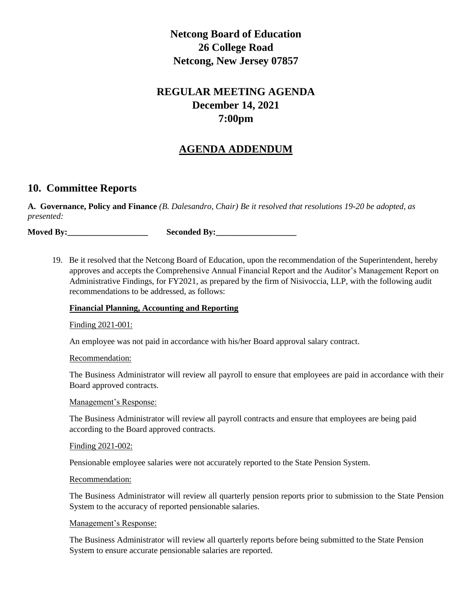# **Netcong Board of Education 26 College Road Netcong, New Jersey 07857**

## **REGULAR MEETING AGENDA December 14, 2021 7:00pm**

## **AGENDA ADDENDUM**

## **10. Committee Reports**

**A. Governance, Policy and Finance** *(B. Dalesandro, Chair) Be it resolved that resolutions 19-20 be adopted, as presented:*

**Moved By:\_\_\_\_\_\_\_\_\_\_\_\_\_\_\_\_\_\_\_ Seconded By:\_\_\_\_\_\_\_\_\_\_\_\_\_\_\_\_\_\_\_**

19. Be it resolved that the Netcong Board of Education, upon the recommendation of the Superintendent, hereby approves and accepts the Comprehensive Annual Financial Report and the Auditor's Management Report on Administrative Findings, for FY2021, as prepared by the firm of Nisivoccia, LLP, with the following audit recommendations to be addressed, as follows:

## **Financial Planning, Accounting and Reporting**

## Finding 2021-001:

An employee was not paid in accordance with his/her Board approval salary contract.

#### Recommendation:

The Business Administrator will review all payroll to ensure that employees are paid in accordance with their Board approved contracts.

## Management's Response:

The Business Administrator will review all payroll contracts and ensure that employees are being paid according to the Board approved contracts.

#### Finding 2021-002:

Pensionable employee salaries were not accurately reported to the State Pension System.

#### Recommendation:

The Business Administrator will review all quarterly pension reports prior to submission to the State Pension System to the accuracy of reported pensionable salaries.

## Management's Response:

The Business Administrator will review all quarterly reports before being submitted to the State Pension System to ensure accurate pensionable salaries are reported.